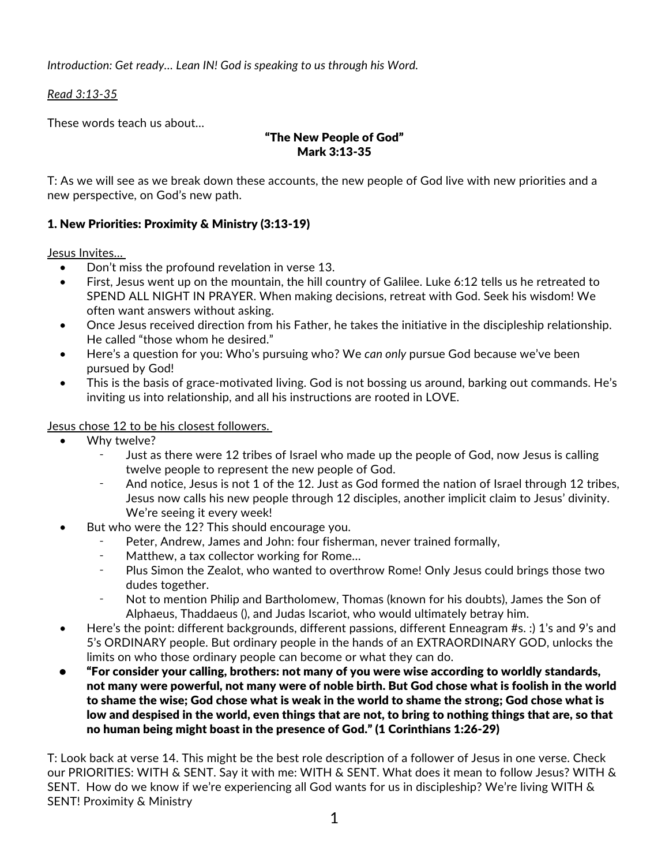*Introduction: Get ready… Lean IN! God is speaking to us through his Word.* 

*Read 3:13-35*

These words teach us about…

## "The New People of God" Mark 3:13-35

T: As we will see as we break down these accounts, the new people of God live with new priorities and a new perspective, on God's new path.

# 1. New Priorities: Proximity & Ministry (3:13-19)

Jesus Invites…

- Don't miss the profound revelation in verse 13.
- First, Jesus went up on the mountain, the hill country of Galilee. Luke 6:12 tells us he retreated to SPEND ALL NIGHT IN PRAYER. When making decisions, retreat with God. Seek his wisdom! We often want answers without asking.
- Once Jesus received direction from his Father, he takes the initiative in the discipleship relationship. He called "those whom he desired."
- Here's a question for you: Who's pursuing who? We *can only* pursue God because we've been pursued by God!
- This is the basis of grace-motivated living. God is not bossing us around, barking out commands. He's inviting us into relationship, and all his instructions are rooted in LOVE.

**Jesus chose 12 to be his closest followers.** 

- Why twelve?
	- Just as there were 12 tribes of Israel who made up the people of God, now Jesus is calling twelve people to represent the new people of God.
	- And notice, Jesus is not 1 of the 12. Just as God formed the nation of Israel through 12 tribes, Jesus now calls his new people through 12 disciples, another implicit claim to Jesus' divinity. We're seeing it every week!
- But who were the 12? This should encourage you.
	- Peter, Andrew, James and John: four fisherman, never trained formally,
	- ⁃ Matthew, a tax collector working for Rome…
	- Plus Simon the Zealot, who wanted to overthrow Rome! Only Jesus could brings those two dudes together.
	- Not to mention Philip and Bartholomew, Thomas (known for his doubts), James the Son of Alphaeus, Thaddaeus (), and Judas Iscariot, who would ultimately betray him.
- Here's the point: different backgrounds, different passions, different Enneagram #s. :) 1's and 9's and 5's ORDINARY people. But ordinary people in the hands of an EXTRAORDINARY GOD, unlocks the limits on who those ordinary people can become or what they can do.
- "For consider your calling, brothers: not many of you were wise according to worldly standards, not many were powerful, not many were of noble birth. But God chose what is foolish in the world to shame the wise; God chose what is weak in the world to shame the strong; God chose what is low and despised in the world, even things that are not, to bring to nothing things that are, so that no human being might boast in the presence of God." (1 Corinthians 1:26-29)

T: Look back at verse 14. This might be the best role description of a follower of Jesus in one verse. Check our PRIORITIES: WITH & SENT. Say it with me: WITH & SENT. What does it mean to follow Jesus? WITH & SENT. How do we know if we're experiencing all God wants for us in discipleship? We're living WITH & SENT! Proximity & Ministry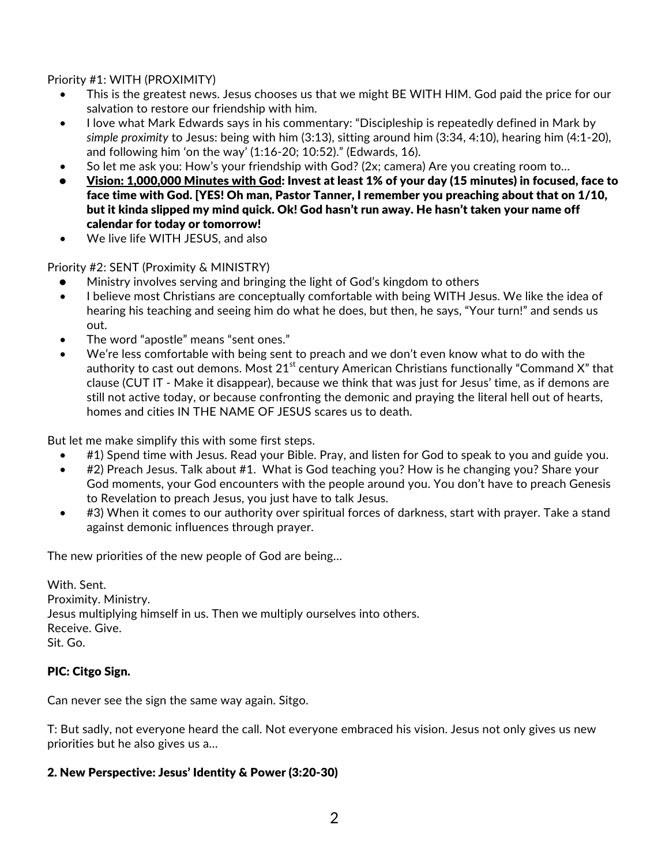Priority #1: WITH (PROXIMITY)

- This is the greatest news. Jesus chooses us that we might BE WITH HIM. God paid the price for our salvation to restore our friendship with him.
- I love what Mark Edwards says in his commentary: "Discipleship is repeatedly defined in Mark by *simple proximity* to Jesus: being with him (3:13), sitting around him (3:34, 4:10), hearing him (4:1-20), and following him 'on the way' (1:16-20; 10:52)." (Edwards, 16).
- So let me ask you: How's your friendship with God? (2x; camera) Are you creating room to…
- Vision: 1,000,000 Minutes with God: Invest at least 1% of your day (15 minutes) in focused, face to face time with God. [YES! Oh man, Pastor Tanner, I remember you preaching about that on 1/10, but it kinda slipped my mind quick. Ok! God hasn't run away. He hasn't taken your name off calendar for today or tomorrow!
- We live life WITH JESUS, and also

Priority #2: SENT (Proximity & MINISTRY)

- Ministry involves serving and bringing the light of God's kingdom to others
- I believe most Christians are conceptually comfortable with being WITH Jesus. We like the idea of hearing his teaching and seeing him do what he does, but then, he says, "Your turn!" and sends us out.
- The word "apostle" means "sent ones."
- We're less comfortable with being sent to preach and we don't even know what to do with the authority to cast out demons. Most  $21^{st}$  century American Christians functionally "Command X" that clause (CUT IT - Make it disappear), because we think that was just for Jesus' time, as if demons are still not active today, or because confronting the demonic and praying the literal hell out of hearts, homes and cities IN THE NAME OF JESUS scares us to death.

But let me make simplify this with some first steps.

- #1) Spend time with Jesus. Read your Bible. Pray, and listen for God to speak to you and guide you.
- #2) Preach Jesus. Talk about #1. What is God teaching you? How is he changing you? Share your God moments, your God encounters with the people around you. You don't have to preach Genesis to Revelation to preach Jesus, you just have to talk Jesus.
- #3) When it comes to our authority over spiritual forces of darkness, start with prayer. Take a stand against demonic influences through prayer.

The new priorities of the new people of God are being…

With. Sent. Proximity. Ministry. Jesus multiplying himself in us. Then we multiply ourselves into others. Receive. Give. Sit. Go.

### PIC: Citgo Sign.

Can never see the sign the same way again. Sitgo.

T: But sadly, not everyone heard the call. Not everyone embraced his vision. Jesus not only gives us new priorities but he also gives us a…

#### 2. New Perspective: Jesus' Identity & Power (3:20-30)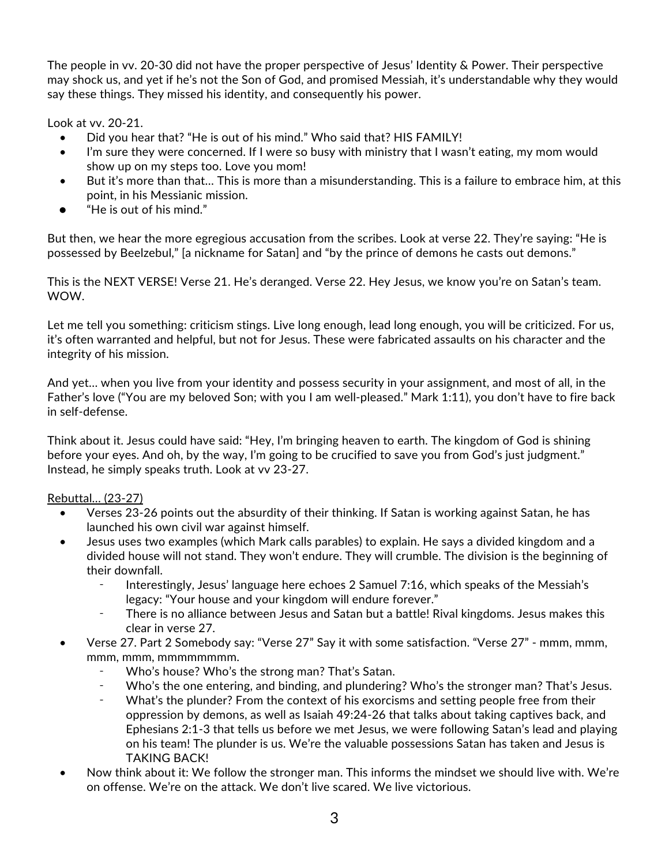The people in vv. 20-30 did not have the proper perspective of Jesus' Identity & Power. Their perspective may shock us, and yet if he's not the Son of God, and promised Messiah, it's understandable why they would say these things. They missed his identity, and consequently his power.

Look at vv. 20-21.

- Did you hear that? "He is out of his mind." Who said that? HIS FAMILY!
- I'm sure they were concerned. If I were so busy with ministry that I wasn't eating, my mom would show up on my steps too. Love you mom!
- But it's more than that... This is more than a misunderstanding. This is a failure to embrace him, at this point, in his Messianic mission.
- "He is out of his mind."

But then, we hear the more egregious accusation from the scribes. Look at verse 22. They're saying: "He is possessed by Beelzebul," [a nickname for Satan] and "by the prince of demons he casts out demons."

This is the NEXT VERSE! Verse 21. He's deranged. Verse 22. Hey Jesus, we know you're on Satan's team. WOW.

Let me tell you something: criticism stings. Live long enough, lead long enough, you will be criticized. For us, it's often warranted and helpful, but not for Jesus. These were fabricated assaults on his character and the integrity of his mission.

And yet… when you live from your identity and possess security in your assignment, and most of all, in the Father's love ("You are my beloved Son; with you I am well-pleased." Mark 1:11), you don't have to fire back in self-defense.

Think about it. Jesus could have said: "Hey, I'm bringing heaven to earth. The kingdom of God is shining before your eyes. And oh, by the way, I'm going to be crucified to save you from God's just judgment." Instead, he simply speaks truth. Look at vv 23-27.

## Rebuttal… (23-27)

- Verses 23-26 points out the absurdity of their thinking. If Satan is working against Satan, he has launched his own civil war against himself.
- Jesus uses two examples (which Mark calls parables) to explain. He says a divided kingdom and a divided house will not stand. They won't endure. They will crumble. The division is the beginning of their downfall.
	- ⁃ Interestingly, Jesus' language here echoes 2 Samuel 7:16, which speaks of the Messiah's legacy: "Your house and your kingdom will endure forever."
	- There is no alliance between Jesus and Satan but a battle! Rival kingdoms. Jesus makes this clear in verse 27.
- Verse 27. Part 2 Somebody say: "Verse 27" Say it with some satisfaction. "Verse 27" mmm, mmm, mmm, mmm, mmmmmmmm.
	- ⁃ Who's house? Who's the strong man? That's Satan.
	- Who's the one entering, and binding, and plundering? Who's the stronger man? That's Jesus.
	- What's the plunder? From the context of his exorcisms and setting people free from their oppression by demons, as well as Isaiah 49:24-26 that talks about taking captives back, and Ephesians 2:1-3 that tells us before we met Jesus, we were following Satan's lead and playing on his team! The plunder is us. We're the valuable possessions Satan has taken and Jesus is TAKING BACK!
- Now think about it: We follow the stronger man. This informs the mindset we should live with. We're on offense. We're on the attack. We don't live scared. We live victorious.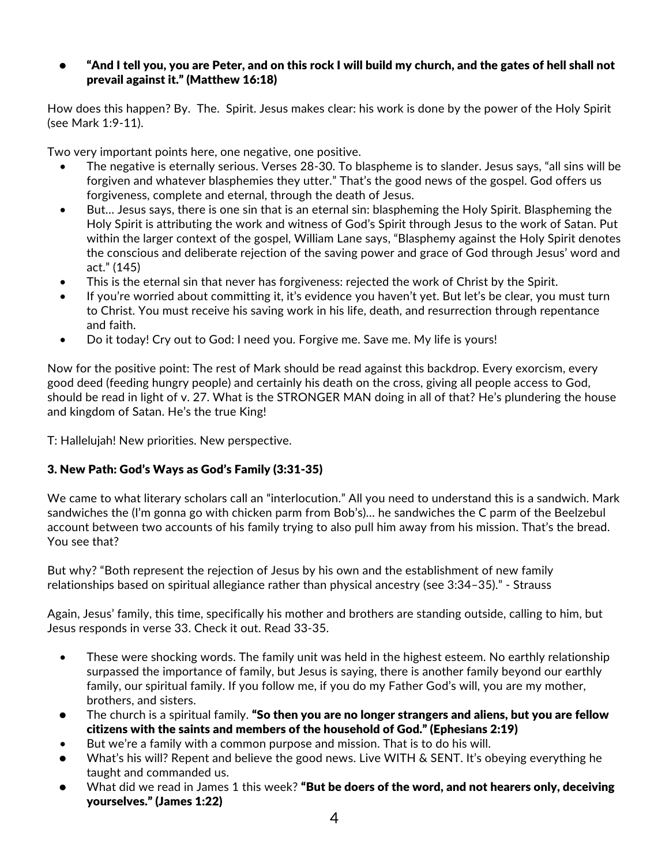### • "And I tell you, you are Peter, and on this rock I will build my church, and the gates of hell shall not prevail against it." (Matthew 16:18)

How does this happen? By. The. Spirit. Jesus makes clear: his work is done by the power of the Holy Spirit (see Mark 1:9-11).

Two very important points here, one negative, one positive.

- The negative is eternally serious. Verses 28-30. To blaspheme is to slander. Jesus says, "all sins will be forgiven and whatever blasphemies they utter." That's the good news of the gospel. God offers us forgiveness, complete and eternal, through the death of Jesus.
- But… Jesus says, there is one sin that is an eternal sin: blaspheming the Holy Spirit. Blaspheming the Holy Spirit is attributing the work and witness of God's Spirit through Jesus to the work of Satan. Put within the larger context of the gospel, William Lane says, "Blasphemy against the Holy Spirit denotes the conscious and deliberate rejection of the saving power and grace of God through Jesus' word and act." (145)
- This is the eternal sin that never has forgiveness: rejected the work of Christ by the Spirit.
- If you're worried about committing it, it's evidence you haven't yet. But let's be clear, you must turn to Christ. You must receive his saving work in his life, death, and resurrection through repentance and faith.
- Do it today! Cry out to God: I need you. Forgive me. Save me. My life is yours!

Now for the positive point: The rest of Mark should be read against this backdrop. Every exorcism, every good deed (feeding hungry people) and certainly his death on the cross, giving all people access to God, should be read in light of v. 27. What is the STRONGER MAN doing in all of that? He's plundering the house and kingdom of Satan. He's the true King!

T: Hallelujah! New priorities. New perspective.

### 3. New Path: God's Ways as God's Family (3:31-35)

We came to what literary scholars call an "interlocution." All you need to understand this is a sandwich. Mark sandwiches the (I'm gonna go with chicken parm from Bob's)… he sandwiches the C parm of the Beelzebul account between two accounts of his family trying to also pull him away from his mission. That's the bread. You see that?

But why? "Both represent the rejection of Jesus by his own and the establishment of new family relationships based on spiritual allegiance rather than physical ancestry (see 3:34–35)." - Strauss

Again, Jesus' family, this time, specifically his mother and brothers are standing outside, calling to him, but Jesus responds in verse 33. Check it out. Read 33-35.

- These were shocking words. The family unit was held in the highest esteem. No earthly relationship surpassed the importance of family, but Jesus is saying, there is another family beyond our earthly family, our spiritual family. If you follow me, if you do my Father God's will, you are my mother, brothers, and sisters.
- The church is a spiritual family. "So then you are no longer strangers and aliens, but you are fellow citizens with the saints and members of the household of God." (Ephesians 2:19)
- But we're a family with a common purpose and mission. That is to do his will.
- What's his will? Repent and believe the good news. Live WITH & SENT. It's obeying everything he taught and commanded us.
- What did we read in James 1 this week? "But be doers of the word, and not hearers only, deceiving yourselves." (James 1:22)